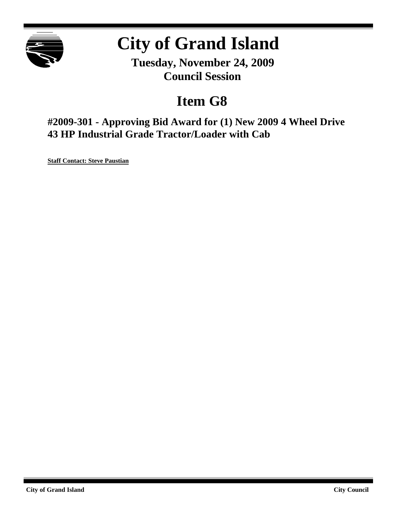

# **City of Grand Island**

**Tuesday, November 24, 2009 Council Session**

## **Item G8**

**#2009-301 - Approving Bid Award for (1) New 2009 4 Wheel Drive 43 HP Industrial Grade Tractor/Loader with Cab**

**Staff Contact: Steve Paustian**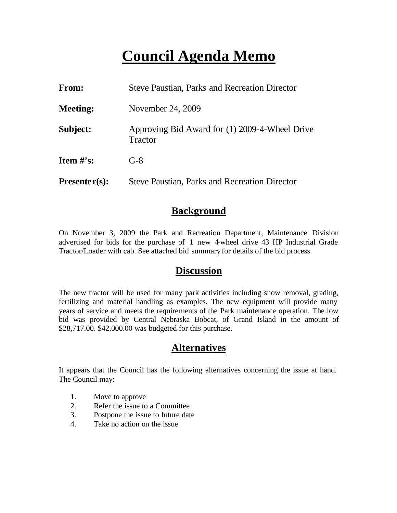## **Council Agenda Memo**

| <b>From:</b>                   | <b>Steve Paustian, Parks and Recreation Director</b>      |
|--------------------------------|-----------------------------------------------------------|
| <b>Meeting:</b>                | November 24, 2009                                         |
| Subject:                       | Approving Bid Award for (1) 2009-4-Wheel Drive<br>Tractor |
| <b>Item <math>\#</math>'s:</b> | $G-8$                                                     |
| $Presenter(s):$                | <b>Steve Paustian, Parks and Recreation Director</b>      |

### **Background**

On November 3, 2009 the Park and Recreation Department, Maintenance Division advertised for bids for the purchase of 1 new 4-wheel drive 43 HP Industrial Grade Tractor/Loader with cab. See attached bid summary for details of the bid process.

### **Discussion**

The new tractor will be used for many park activities including snow removal, grading, fertilizing and material handling as examples. The new equipment will provide many years of service and meets the requirements of the Park maintenance operation. The low bid was provided by Central Nebraska Bobcat, of Grand Island in the amount of \$28,717.00. \$42,000.00 was budgeted for this purchase.

## **Alternatives**

It appears that the Council has the following alternatives concerning the issue at hand. The Council may:

- 1. Move to approve
- 2. Refer the issue to a Committee
- 3. Postpone the issue to future date
- 4. Take no action on the issue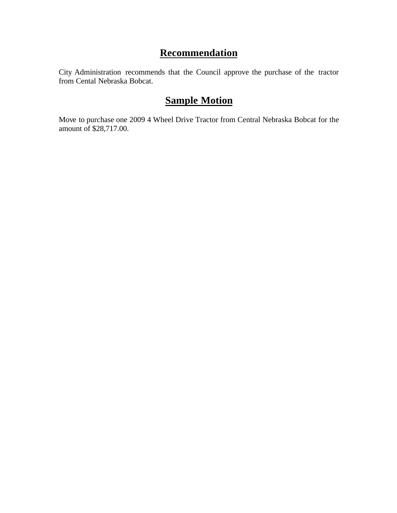## **Recommendation**

City Administration recommends that the Council approve the purchase of the tractor from Cental Nebraska Bobcat.

## **Sample Motion**

Move to purchase one 2009 4 Wheel Drive Tractor from Central Nebraska Bobcat for the amount of \$28,717.00.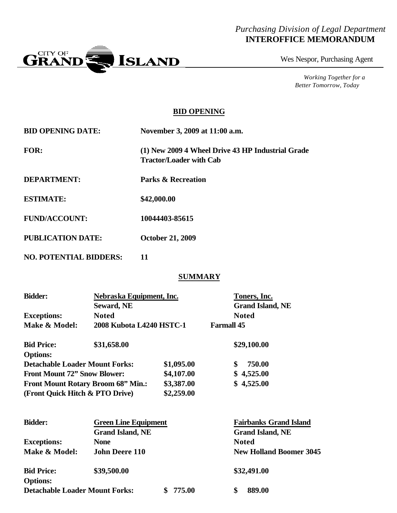### *Purchasing Division of Legal Department* **INTEROFFICE MEMORANDUM**



Wes Nespor, Purchasing Agent

*Working Together for a Better Tomorrow, Today*

#### **BID OPENING**

| <b>BID OPENING DATE:</b> | November 3, 2009 at 11:00 a.m.                                                      |
|--------------------------|-------------------------------------------------------------------------------------|
| <b>FOR:</b>              | (1) New 2009 4 Wheel Drive 43 HP Industrial Grade<br><b>Tractor/Loader with Cab</b> |
| <b>DEPARTMENT:</b>       | <b>Parks &amp; Recreation</b>                                                       |
| <b>ESTIMATE:</b>         | \$42,000.00                                                                         |
| <b>FUND/ACCOUNT:</b>     | 10044403-85615                                                                      |
| <b>PUBLICATION DATE:</b> | <b>October 21, 2009</b>                                                             |

**NO. POTENTIAL BIDDERS: 11**

#### **SUMMARY**

| <b>Bidder:</b>                                           | Nebraska Equipment, Inc.    |              | Toners, Inc.      |                                |  |
|----------------------------------------------------------|-----------------------------|--------------|-------------------|--------------------------------|--|
|                                                          | <b>Seward, NE</b>           |              |                   | <b>Grand Island, NE</b>        |  |
| <b>Exceptions:</b>                                       | <b>Noted</b>                |              | <b>Noted</b>      |                                |  |
| Make & Model:                                            | 2008 Kubota L4240 HSTC-1    |              | <b>Farmall 45</b> |                                |  |
| <b>Bid Price:</b>                                        | \$31,658.00                 |              |                   | \$29,100.00                    |  |
| <b>Options:</b><br><b>Detachable Loader Mount Forks:</b> |                             | \$1,095.00   | \$                | 750.00                         |  |
| <b>Front Mount 72" Snow Blower:</b>                      |                             | \$4,107.00   |                   | \$4,525.00                     |  |
| <b>Front Mount Rotary Broom 68" Min.:</b>                |                             | \$3,387.00   |                   | \$4,525.00                     |  |
| (Front Quick Hitch & PTO Drive)                          |                             | \$2,259.00   |                   |                                |  |
| <b>Bidder:</b>                                           | <b>Green Line Equipment</b> |              |                   | <b>Fairbanks Grand Island</b>  |  |
|                                                          | <b>Grand Island, NE</b>     |              |                   | <b>Grand Island, NE</b>        |  |
| <b>Exceptions:</b>                                       | <b>None</b>                 |              | <b>Noted</b>      |                                |  |
| Make & Model:                                            | <b>John Deere 110</b>       |              |                   | <b>New Holland Boomer 3045</b> |  |
| <b>Bid Price:</b>                                        | \$39,500.00                 |              |                   | \$32,491.00                    |  |
| <b>Options:</b>                                          |                             |              |                   |                                |  |
| <b>Detachable Loader Mount Forks:</b>                    |                             | 775.00<br>\$ | \$                | 889.00                         |  |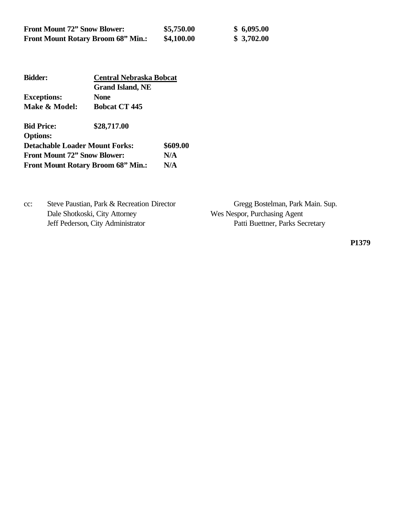| <b>Front Mount 72" Snow Blower:</b>       | \$5,750.00 | \$6,095.00 |
|-------------------------------------------|------------|------------|
| <b>Front Mount Rotary Broom 68" Min.:</b> | \$4,100.00 | \$3,702.00 |

| <b>Bidder:</b>                        | <b>Central Nebraska Bobcat</b>            |          |  |
|---------------------------------------|-------------------------------------------|----------|--|
|                                       | <b>Grand Island, NE</b>                   |          |  |
| <b>Exceptions:</b>                    | <b>None</b>                               |          |  |
| Make & Model:                         | <b>Bobcat CT 445</b>                      |          |  |
| <b>Bid Price:</b>                     | \$28,717.00                               |          |  |
| <b>Options:</b>                       |                                           |          |  |
| <b>Detachable Loader Mount Forks:</b> |                                           | \$609.00 |  |
| <b>Front Mount 72" Snow Blower:</b>   |                                           | N/A      |  |
|                                       | <b>Front Mount Rotary Broom 68" Min.:</b> | N/A      |  |

| $cc$ : | Steve Paustian, Park & Recreation Director |
|--------|--------------------------------------------|
|        | Dale Shotkoski, City Attorney              |
|        | Jeff Pederson, City Administrator          |

Gregg Bostelman, Park Main. Sup. Wes Nespor, Purchasing Agent Patti Buettner, Parks Secretary

**P1379**